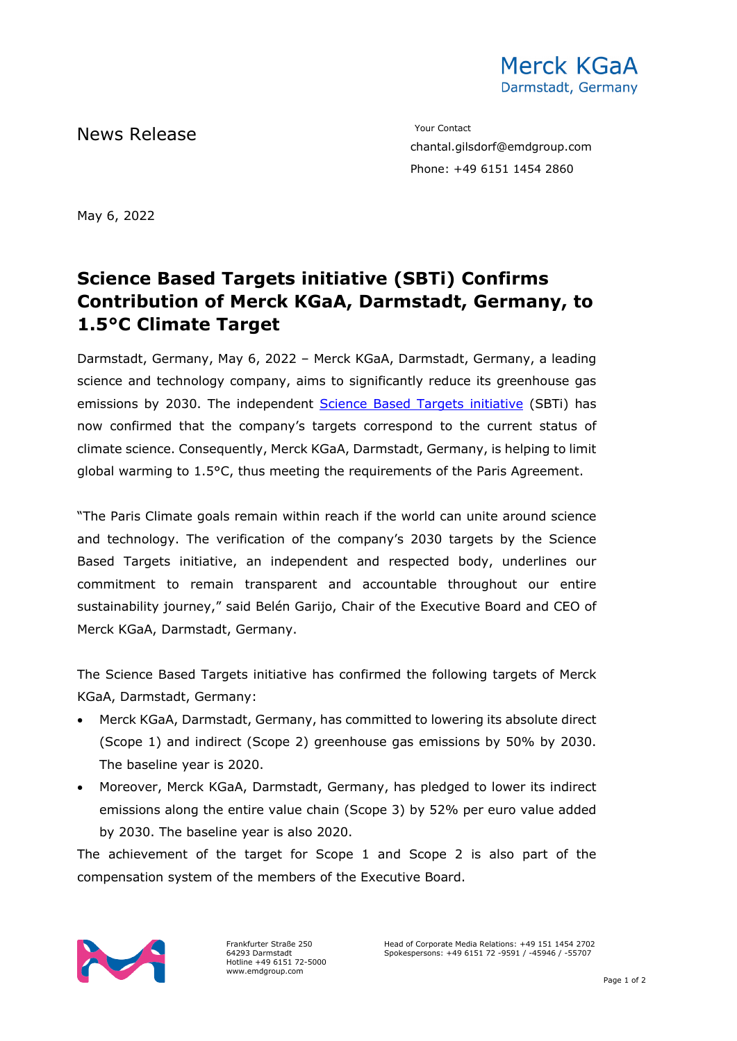

News Release The Contact Terms of the Mean of the Mean of the Vour Contact

chantal.gilsdorf@emdgroup.com Phone: +49 6151 1454 2860

May 6, 2022

## **Science Based Targets initiative (SBTi) Confirms Contribution of Merck KGaA, Darmstadt, Germany, to 1.5°C Climate Target**

Darmstadt, Germany, May 6, 2022 – Merck KGaA, Darmstadt, Germany, a leading science and technology company, aims to significantly reduce its greenhouse gas emissions by 2030. The independent [Science Based Targets initiative](https://sciencebasedtargets.org/) (SBTi) has now confirmed that the company's targets correspond to the current status of climate science. Consequently, Merck KGaA, Darmstadt, Germany, is helping to limit global warming to 1.5°C, thus meeting the requirements of the Paris Agreement.

"The Paris Climate goals remain within reach if the world can unite around science and technology. The verification of the company's 2030 targets by the Science Based Targets initiative, an independent and respected body, underlines our commitment to remain transparent and accountable throughout our entire sustainability journey," said Belén Garijo, Chair of the Executive Board and CEO of Merck KGaA, Darmstadt, Germany.

The Science Based Targets initiative has confirmed the following targets of Merck KGaA, Darmstadt, Germany:

- Merck KGaA, Darmstadt, Germany, has committed to lowering its absolute direct (Scope 1) and indirect (Scope 2) greenhouse gas emissions by 50% by 2030. The baseline year is 2020.
- Moreover, Merck KGaA, Darmstadt, Germany, has pledged to lower its indirect emissions along the entire value chain (Scope 3) by 52% per euro value added by 2030. The baseline year is also 2020.

The achievement of the target for Scope 1 and Scope 2 is also part of the compensation system of the members of the Executive Board.



Frankfurter Straße 250 64293 Darmstadt Hotline +49 6151 72-5000 www.emdgroup.com